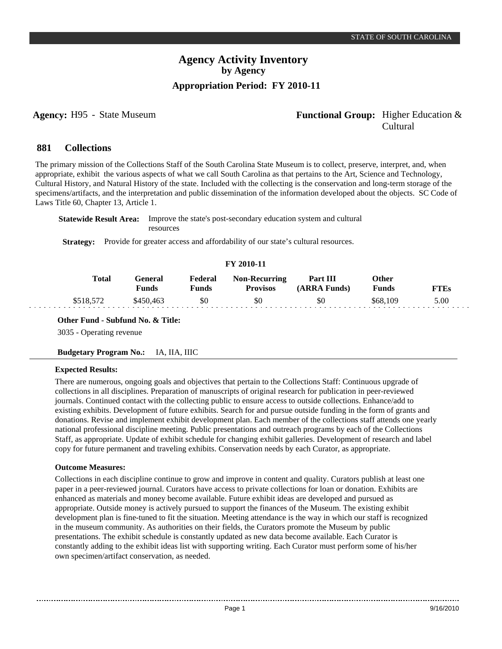## **Agency:** H95 - State Museum **-** *Functional Group:* Higher Education & Cultural

#### **Collections 881**

The primary mission of the Collections Staff of the South Carolina State Museum is to collect, preserve, interpret, and, when appropriate, exhibit the various aspects of what we call South Carolina as that pertains to the Art, Science and Technology, Cultural History, and Natural History of the state. Included with the collecting is the conservation and long-term storage of the specimens/artifacts, and the interpretation and public dissemination of the information developed about the objects. SC Code of Laws Title 60, Chapter 13, Article 1.

**Statewide Result Area:** Improve the state's post-secondary education system and cultural resources

**Strategy:** Provide for greater access and affordability of our state's cultural resources.

## **FY 2010-11**

| <b>Total</b> | General<br>Funds | Federal<br>Funds | <b>Non-Recurring</b><br><b>Provisos</b> | Part III<br>(ARRA Funds) | Other<br><b>Funds</b> | FTEs |
|--------------|------------------|------------------|-----------------------------------------|--------------------------|-----------------------|------|
| \$518,572    | \$450,463        | \$0              | \$0                                     | \$0                      | \$68,109              | 5.00 |

**Other Fund - Subfund No. & Title:**

3035 - Operating revenue

**Budgetary Program No.:** IA, IIA, IIIC

## **Expected Results:**

There are numerous, ongoing goals and objectives that pertain to the Collections Staff: Continuous upgrade of collections in all disciplines. Preparation of manuscripts of original research for publication in peer-reviewed journals. Continued contact with the collecting public to ensure access to outside collections. Enhance/add to existing exhibits. Development of future exhibits. Search for and pursue outside funding in the form of grants and donations. Revise and implement exhibit development plan. Each member of the collections staff attends one yearly national professional discipline meeting. Public presentations and outreach programs by each of the Collections Staff, as appropriate. Update of exhibit schedule for changing exhibit galleries. Development of research and label copy for future permanent and traveling exhibits. Conservation needs by each Curator, as appropriate.

### **Outcome Measures:**

Collections in each discipline continue to grow and improve in content and quality. Curators publish at least one paper in a peer-reviewed journal. Curators have access to private collections for loan or donation. Exhibits are enhanced as materials and money become available. Future exhibit ideas are developed and pursued as appropriate. Outside money is actively pursued to support the finances of the Museum. The existing exhibit development plan is fine-tuned to fit the situation. Meeting attendance is the way in which our staff is recognized in the museum community. As authorities on their fields, the Curators promote the Museum by public presentations. The exhibit schedule is constantly updated as new data become available. Each Curator is constantly adding to the exhibit ideas list with supporting writing. Each Curator must perform some of his/her own specimen/artifact conservation, as needed.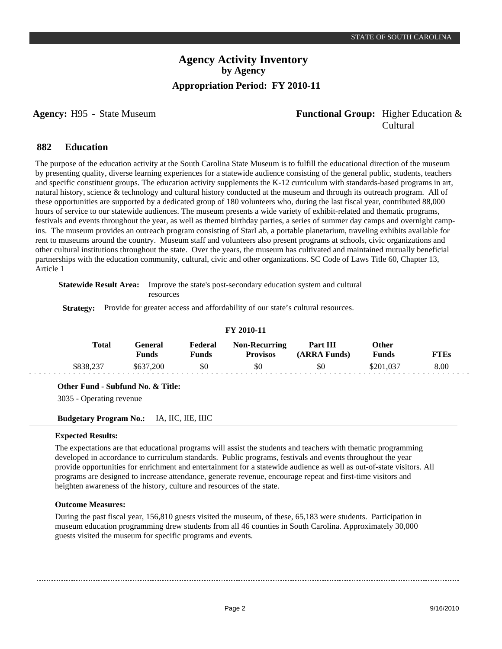## **Agency:** H95 - State Museum **Functional Group:** Higher Education & Cultural

#### **Education 882**

The purpose of the education activity at the South Carolina State Museum is to fulfill the educational direction of the museum by presenting quality, diverse learning experiences for a statewide audience consisting of the general public, students, teachers and specific constituent groups. The education activity supplements the K-12 curriculum with standards-based programs in art, natural history, science & technology and cultural history conducted at the museum and through its outreach program. All of these opportunities are supported by a dedicated group of 180 volunteers who, during the last fiscal year, contributed 88,000 hours of service to our statewide audiences. The museum presents a wide variety of exhibit-related and thematic programs, festivals and events throughout the year, as well as themed birthday parties, a series of summer day camps and overnight campins. The museum provides an outreach program consisting of StarLab, a portable planetarium, traveling exhibits available for rent to museums around the country. Museum staff and volunteers also present programs at schools, civic organizations and other cultural institutions throughout the state. Over the years, the museum has cultivated and maintained mutually beneficial partnerships with the education community, cultural, civic and other organizations. SC Code of Laws Title 60, Chapter 13, Article 1

**Statewide Result Area:** Improve the state's post-secondary education system and cultural resources

**Strategy:** Provide for greater access and affordability of our state's cultural resources.

|  |  | FY 2010-11 |
|--|--|------------|
|--|--|------------|

| Total     | General<br>Funds | Federal<br>Funds | <b>Non-Recurring</b><br><b>Provisos</b> | <b>Part III</b><br>(ARRA Funds) | Other<br>Funds |      |
|-----------|------------------|------------------|-----------------------------------------|---------------------------------|----------------|------|
| \$838,237 | .200<br>\$637    | \$0              | \$0                                     | \$0                             | 3201.037       | 8.00 |

**Other Fund - Subfund No. & Title:**

3035 - Operating revenue

### **Budgetary Program No.:** IA, IIC, IIE, IIIC

### **Expected Results:**

The expectations are that educational programs will assist the students and teachers with thematic programming developed in accordance to curriculum standards. Public programs, festivals and events throughout the year provide opportunities for enrichment and entertainment for a statewide audience as well as out-of-state visitors. All programs are designed to increase attendance, generate revenue, encourage repeat and first-time visitors and heighten awareness of the history, culture and resources of the state.

### **Outcome Measures:**

During the past fiscal year, 156,810 guests visited the museum, of these, 65,183 were students. Participation in museum education programming drew students from all 46 counties in South Carolina. Approximately 30,000 guests visited the museum for specific programs and events.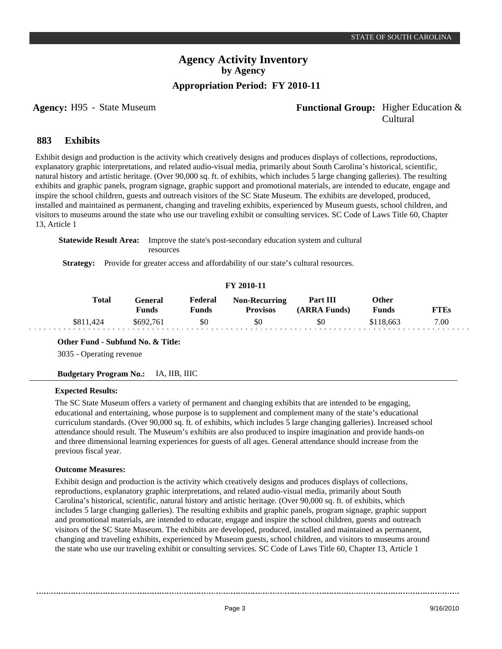## **Agency:** H95 - State Museum **Functional Group:** Higher Education & Cultural

#### **Exhibits 883**

Exhibit design and production is the activity which creatively designs and produces displays of collections, reproductions, explanatory graphic interpretations, and related audio-visual media, primarily about South Carolina's historical, scientific, natural history and artistic heritage. (Over 90,000 sq. ft. of exhibits, which includes 5 large changing galleries). The resulting exhibits and graphic panels, program signage, graphic support and promotional materials, are intended to educate, engage and inspire the school children, guests and outreach visitors of the SC State Museum. The exhibits are developed, produced, installed and maintained as permanent, changing and traveling exhibits, experienced by Museum guests, school children, and visitors to museums around the state who use our traveling exhibit or consulting services. SC Code of Laws Title 60, Chapter 13, Article 1

**Statewide Result Area:** Improve the state's post-secondary education system and cultural resources

**Strategy:** Provide for greater access and affordability of our state's cultural resources.

#### **FY 2010-11**

| <b>Total</b> | <b>Feneral</b><br>Funds | Federal<br>Funds | <b>Non-Recurring</b><br><b>Provisos</b> | Part III<br>(ARRA Funds) | Other<br><b>Funds</b> | TTES |
|--------------|-------------------------|------------------|-----------------------------------------|--------------------------|-----------------------|------|
| \$811,424    | \$692,761               | \$0              | \$0                                     | \$0                      | \$118,663             | 7.00 |

**Other Fund - Subfund No. & Title:**

3035 - Operating revenue

**Budgetary Program No.:** IA, IIB, IIIC

### **Expected Results:**

The SC State Museum offers a variety of permanent and changing exhibits that are intended to be engaging, educational and entertaining, whose purpose is to supplement and complement many of the state's educational curriculum standards. (Over 90,000 sq. ft. of exhibits, which includes 5 large changing galleries). Increased school attendance should result. The Museum's exhibits are also produced to inspire imagination and provide hands-on and three dimensional learning experiences for guests of all ages. General attendance should increase from the previous fiscal year.

#### **Outcome Measures:**

Exhibit design and production is the activity which creatively designs and produces displays of collections, reproductions, explanatory graphic interpretations, and related audio-visual media, primarily about South Carolina's historical, scientific, natural history and artistic heritage. (Over 90,000 sq. ft. of exhibits, which includes 5 large changing galleries). The resulting exhibits and graphic panels, program signage, graphic support and promotional materials, are intended to educate, engage and inspire the school children, guests and outreach visitors of the SC State Museum. The exhibits are developed, produced, installed and maintained as permanent, changing and traveling exhibits, experienced by Museum guests, school children, and visitors to museums around the state who use our traveling exhibit or consulting services. SC Code of Laws Title 60, Chapter 13, Article 1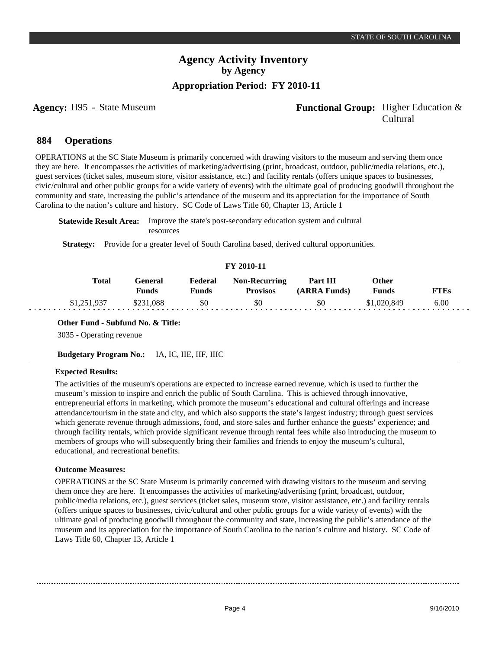## **Agency:** H95 - State Museum **Functional Group:** Higher Education & Cultural

#### **Operations 884**

OPERATIONS at the SC State Museum is primarily concerned with drawing visitors to the museum and serving them once they are here. It encompasses the activities of marketing/advertising (print, broadcast, outdoor, public/media relations, etc.), guest services (ticket sales, museum store, visitor assistance, etc.) and facility rentals (offers unique spaces to businesses, civic/cultural and other public groups for a wide variety of events) with the ultimate goal of producing goodwill throughout the community and state, increasing the public's attendance of the museum and its appreciation for the importance of South Carolina to the nation's culture and history. SC Code of Laws Title 60, Chapter 13, Article 1

**Statewide Result Area:** Improve the state's post-secondary education system and cultural resources

**Strategy:** Provide for a greater level of South Carolina based, derived cultural opportunities.

### **FY 2010-11**

| <b>Total</b>            | General<br>Funds | Federal<br>पmds । | <b>Non-Recurring</b><br><b>Provisos</b> | Part III<br>(ARRA Funds) | Other<br><b>Funds</b> | FTEs |
|-------------------------|------------------|-------------------|-----------------------------------------|--------------------------|-----------------------|------|
| 1.251937<br>91, 201, 70 | .088             | \$0               | \$0                                     | \$0                      | \$1,020,849           | 6.00 |

### **Other Fund - Subfund No. & Title:**

3035 - Operating revenue

### **Budgetary Program No.:** IA, IC, IIE, IIF, IIIC

### **Expected Results:**

The activities of the museum's operations are expected to increase earned revenue, which is used to further the museum's mission to inspire and enrich the public of South Carolina. This is achieved through innovative, entrepreneurial efforts in marketing, which promote the museum's educational and cultural offerings and increase attendance/tourism in the state and city, and which also supports the state's largest industry; through guest services which generate revenue through admissions, food, and store sales and further enhance the guests' experience; and through facility rentals, which provide significant revenue through rental fees while also introducing the museum to members of groups who will subsequently bring their families and friends to enjoy the museum's cultural, educational, and recreational benefits.

### **Outcome Measures:**

OPERATIONS at the SC State Museum is primarily concerned with drawing visitors to the museum and serving them once they are here. It encompasses the activities of marketing/advertising (print, broadcast, outdoor, public/media relations, etc.), guest services (ticket sales, museum store, visitor assistance, etc.) and facility rentals (offers unique spaces to businesses, civic/cultural and other public groups for a wide variety of events) with the ultimate goal of producing goodwill throughout the community and state, increasing the public's attendance of the museum and its appreciation for the importance of South Carolina to the nation's culture and history. SC Code of Laws Title 60, Chapter 13, Article 1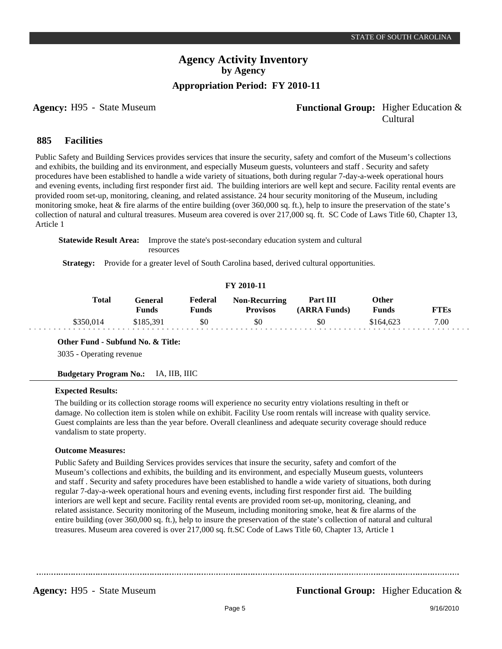## **Agency:** H95 - State Museum **-** *Functional Group:* Higher Education & Cultural

#### **Facilities 885**

Public Safety and Building Services provides services that insure the security, safety and comfort of the Museum's collections and exhibits, the building and its environment, and especially Museum guests, volunteers and staff . Security and safety procedures have been established to handle a wide variety of situations, both during regular 7-day-a-week operational hours and evening events, including first responder first aid. The building interiors are well kept and secure. Facility rental events are provided room set-up, monitoring, cleaning, and related assistance. 24 hour security monitoring of the Museum, including monitoring smoke, heat & fire alarms of the entire building (over 360,000 sq. ft.), help to insure the preservation of the state's collection of natural and cultural treasures. Museum area covered is over 217,000 sq. ft. SC Code of Laws Title 60, Chapter 13, Article 1

**Statewide Result Area:** Improve the state's post-secondary education system and cultural resources

**Strategy:** Provide for a greater level of South Carolina based, derived cultural opportunities.

#### **FY 2010-11**

| <b>Total</b> | General<br>Funds | Federal<br>Funds | <b>Non-Recurring</b><br><b>Provisos</b> | Part III<br>(ARRA Funds) | Other<br>Funds | FTEs |
|--------------|------------------|------------------|-----------------------------------------|--------------------------|----------------|------|
| \$350,014    | \$185.391        | \$0              | \$0                                     | \$0                      | \$164.623      | 7.00 |

**Other Fund - Subfund No. & Title:**

3035 - Operating revenue

**Budgetary Program No.:** IA, IIB, IIIC

#### **Expected Results:**

The building or its collection storage rooms will experience no security entry violations resulting in theft or damage. No collection item is stolen while on exhibit. Facility Use room rentals will increase with quality service. Guest complaints are less than the year before. Overall cleanliness and adequate security coverage should reduce vandalism to state property.

### **Outcome Measures:**

Public Safety and Building Services provides services that insure the security, safety and comfort of the Museum's collections and exhibits, the building and its environment, and especially Museum guests, volunteers and staff . Security and safety procedures have been established to handle a wide variety of situations, both during regular 7-day-a-week operational hours and evening events, including first responder first aid. The building interiors are well kept and secure. Facility rental events are provided room set-up, monitoring, cleaning, and related assistance. Security monitoring of the Museum, including monitoring smoke, heat & fire alarms of the entire building (over 360,000 sq. ft.), help to insure the preservation of the state's collection of natural and cultural treasures. Museum area covered is over 217,000 sq. ft.SC Code of Laws Title 60, Chapter 13, Article 1

**Agency:** H95 - State Museum **-** *Functional Group:* Higher Education &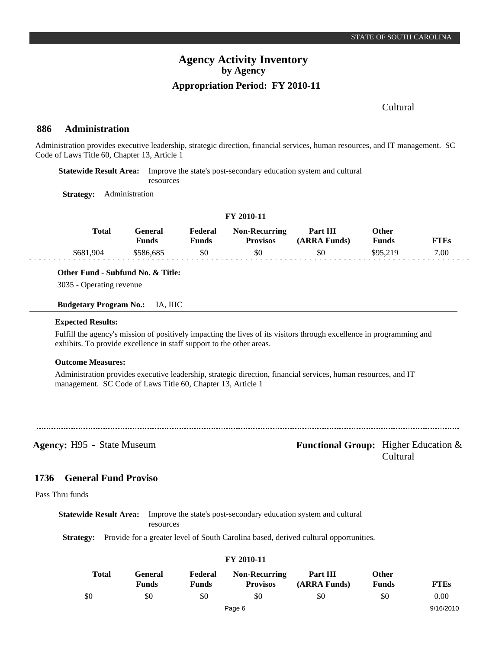## Cultural

#### **Administration 886**

Administration provides executive leadership, strategic direction, financial services, human resources, and IT management. SC Code of Laws Title 60, Chapter 13, Article 1

**Statewide Result Area:** Improve the state's post-secondary education system and cultural resources

**Strategy:** Administration

| FY 2010-11 |           |                         |                         |                                  |                          |                       |             |
|------------|-----------|-------------------------|-------------------------|----------------------------------|--------------------------|-----------------------|-------------|
|            | Total     | General<br><b>Funds</b> | Federal<br><b>Funds</b> | Non-Recurring<br><b>Provisos</b> | Part III<br>(ARRA Funds) | Other<br><b>Funds</b> | <b>FTEs</b> |
|            | \$681,904 | \$586,685               | \$0                     | \$0                              | \$0                      | \$95.219              | 7.00        |

### **Other Fund - Subfund No. & Title:**

3035 - Operating revenue

#### **Budgetary Program No.:** IA, IIIC

#### **Expected Results:**

Fulfill the agency's mission of positively impacting the lives of its visitors through excellence in programming and exhibits. To provide excellence in staff support to the other areas.

#### **Outcome Measures:**

Administration provides executive leadership, strategic direction, financial services, human resources, and IT management. SC Code of Laws Title 60, Chapter 13, Article 1

**Agency:** H95 - State Museum **Functional Group:** Higher Education & Cultural

#### **General Fund Proviso 1736**

Pass Thru funds

**Statewide Result Area:** Improve the state's post-secondary education system and cultural resources

**Strategy:** Provide for a greater level of South Carolina based, derived cultural opportunities.

|       |                  |                         | FY 2010-11                              |                          |                       |             |
|-------|------------------|-------------------------|-----------------------------------------|--------------------------|-----------------------|-------------|
| Total | General<br>Funds | Federal<br><b>Funds</b> | <b>Non-Recurring</b><br><b>Provisos</b> | Part III<br>(ARRA Funds) | Other<br><b>Funds</b> | <b>FTEs</b> |
| \$0   | \$0              | \$0                     | \$0                                     | \$0                      | \$0                   | 0.00        |
|       |                  |                         | Page 6                                  |                          |                       | 9/16/2010   |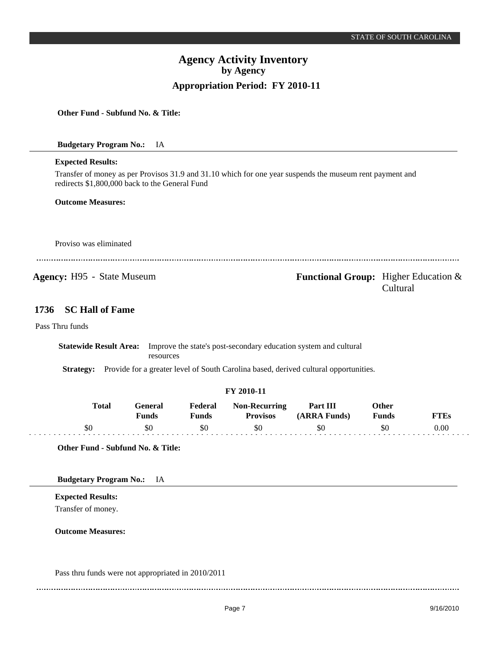**Other Fund - Subfund No. & Title:**

**Budgetary Program No.:** IA

#### **Expected Results:**

Transfer of money as per Provisos 31.9 and 31.10 which for one year suspends the museum rent payment and redirects \$1,800,000 back to the General Fund

#### **Outcome Measures:**

Proviso was eliminated

**Agency:** H95 - State Museum **- Functional Group:** Higher Education & Cultural

#### **SC Hall of Fame 1736**

Pass Thru funds

**Statewide Result Area:** Improve the state's post-secondary education system and cultural resources

**Strategy:** Provide for a greater level of South Carolina based, derived cultural opportunities.

### **FY 2010-11**

| <b>Total</b> | General<br>Funds | Federal<br>Funds | <b>Non-Recurring</b><br><b>Provisos</b> | Part III<br>(ARRA Funds) | Other<br>Funds | TEs  |
|--------------|------------------|------------------|-----------------------------------------|--------------------------|----------------|------|
|              | \$0              |                  | \$0                                     | \$0                      | 30             | 0.00 |

**Other Fund - Subfund No. & Title:**

**Budgetary Program No.:** IA

**Expected Results:** Transfer of money.

**Outcome Measures:**

Pass thru funds were not appropriated in 2010/2011